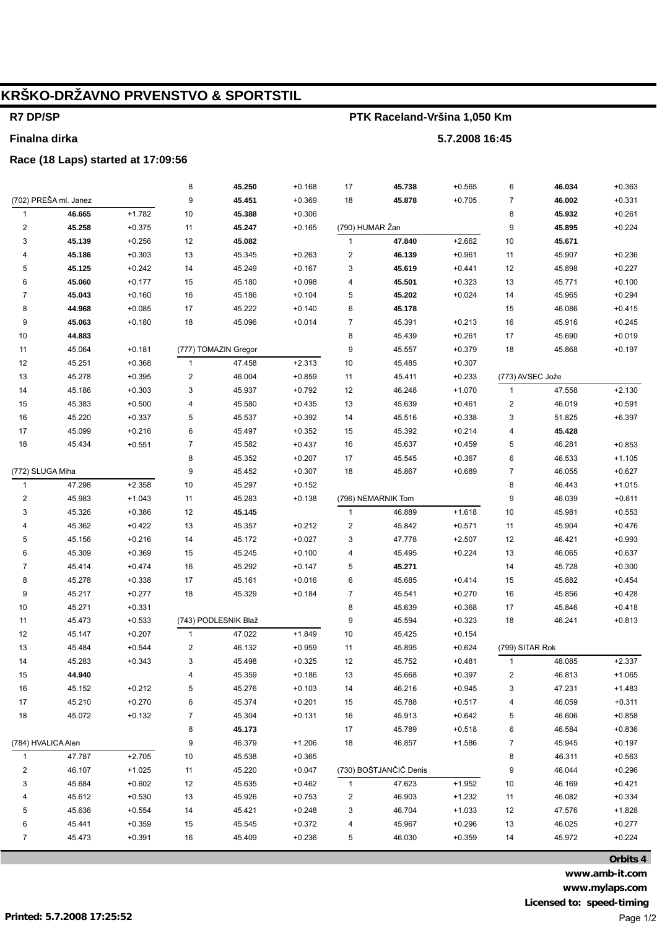# **KRŠKO-DRŽAVNO PRVENSTVO & SPORTSTIL**

## **R7 DP/SP**

**Finalna dirka**

## **PTK Raceland-Vršina 1,050 Km**

**5.7.2008 16:45**

#### **Race (18 Laps) started at 17:09:56**

| (702) PREŠA ml. Janez<br>9<br>45.451<br>$+0.705$<br>$\overline{7}$<br>46.002<br>$+0.331$<br>$+0.369$<br>18<br>45.878<br>$+1.782$<br>46.665<br>10<br>8<br>$\mathbf{1}$<br>45.388<br>$+0.306$<br>45.932<br>$+0.261$<br>(790) HUMAR Žan<br>$\overline{c}$<br>45.258<br>9<br>45.895<br>$+0.224$<br>$+0.375$<br>11<br>45.247<br>$+0.165$<br>45.139<br>12<br>45.082<br>47.840<br>$+2.662$<br>$10$<br>45.671<br>3<br>$+0.256$<br>$\mathbf{1}$<br>13<br>$\overline{c}$<br>$+0.961$<br>45.186<br>$+0.303$<br>45.345<br>$+0.263$<br>46.139<br>11<br>45.907<br>$+0.236$<br>4<br>5<br>45.125<br>$+0.242$<br>14<br>45.249<br>$+0.167$<br>3<br>45.619<br>$+0.441$<br>12<br>45.898<br>$+0.227$<br>6<br>45.060<br>$+0.177$<br>15<br>45.180<br>45.501<br>$+0.323$<br>13<br>45.771<br>$+0.100$<br>$+0.098$<br>4<br>$\overline{7}$<br>45.043<br>16<br>45.186<br>5<br>45.965<br>$+0.160$<br>$+0.104$<br>45.202<br>$+0.024$<br>14<br>$+0.294$<br>17<br>15<br>8<br>44.968<br>$+0.085$<br>45.222<br>$+0.140$<br>6<br>45.178<br>46.086<br>$+0.415$<br>9<br>18<br>$\overline{7}$<br>16<br>45.063<br>45.096<br>45.391<br>$+0.213$<br>45.916<br>$+0.245$<br>$+0.180$<br>$+0.014$<br>$10$<br>8<br>44.883<br>45.439<br>$+0.261$<br>17<br>45.690<br>$+0.019$<br>9<br>11<br>45.064<br>$+0.181$<br>(777) TOMAZIN Gregor<br>45.557<br>$+0.379$<br>18<br>45.868<br>$+0.197$<br>12<br>$+2.313$<br>$10$<br>45.251<br>$+0.368$<br>47.458<br>45.485<br>$+0.307$<br>$\mathbf{1}$<br>$13$<br>45.278<br>$+0.395$<br>$\boldsymbol{2}$<br>46.004<br>$+0.859$<br>11<br>45.411<br>$+0.233$<br>(773) AVSEC Jože<br>$14$<br>3<br>$+0.792$<br>47.558<br>$+2.130$<br>45.186<br>$+0.303$<br>45.937<br>12<br>46.248<br>$+1.070$<br>$\mathbf{1}$<br>$15\,$<br>$+0.500$<br>45.580<br>$+0.591$<br>45.383<br>4<br>$+0.435$<br>13<br>45.639<br>$+0.461$<br>2<br>46.019<br>16<br>45.220<br>$+0.337$<br>5<br>45.537<br>$+0.392$<br>14<br>45.516<br>$+0.338$<br>3<br>51.825<br>$+6.397$<br>45.099<br>$+0.216$<br>6<br>$+0.352$<br>17<br>45.497<br>15<br>45.392<br>$+0.214$<br>4<br>45.428<br>18<br>$\overline{7}$<br>5<br>46.281<br>45.434<br>$+0.551$<br>45.582<br>$+0.437$<br>16<br>45.637<br>$+0.459$<br>$+0.853$<br>8<br>6<br>$+1.105$<br>45.352<br>$+0.207$<br>17<br>45.545<br>$+0.367$<br>46.533<br>9<br>$\overline{7}$<br>(772) SLUGA Miha<br>45.452<br>$+0.307$<br>18<br>45.867<br>$+0.689$<br>46.055<br>$+0.627$<br>47.298<br>$+2.358$<br>8<br>10<br>45.297<br>$+0.152$<br>46.443<br>$+1.015$<br>$\mathbf{1}$<br>45.983<br>$+1.043$<br>9<br>46.039<br>$+0.611$<br>2<br>11<br>45.283<br>$+0.138$<br>(796) NEMARNIK Tom<br>3<br>$+1.618$<br>10<br>45.326<br>$+0.386$<br>12<br>45.145<br>$\mathbf{1}$<br>46.889<br>45.981<br>$+0.553$<br>13<br>$+0.476$<br>45.362<br>$+0.422$<br>45.357<br>$+0.212$<br>$\overline{\mathbf{c}}$<br>45.842<br>$+0.571$<br>45.904<br>4<br>11<br>5<br>45.156<br>$+0.216$<br>14<br>45.172<br>$+0.027$<br>3<br>12<br>$+0.993$<br>47.778<br>$+2.507$<br>46.421<br>6<br>45.309<br>$+0.369$<br>15<br>45.245<br>$+0.224$<br>13<br>46.065<br>$+0.637$<br>$+0.100$<br>4<br>45.495<br>16<br>$\overline{7}$<br>45.292<br>5<br>45.271<br>14<br>45.728<br>$+0.300$<br>45.414<br>$+0.474$<br>$+0.147$<br>8<br>17<br>45.278<br>6<br>$+0.414$<br>15<br>$+0.454$<br>$+0.338$<br>45.161<br>$+0.016$<br>45.685<br>45.882<br>9<br>$\overline{7}$<br>16<br>45.217<br>18<br>45.329<br>$+0.270$<br>45.856<br>$+0.428$<br>$+0.277$<br>$+0.184$<br>45.541<br>10<br>8<br>45.271<br>$+0.331$<br>45.639<br>$+0.368$<br>17<br>45.846<br>$+0.418$<br>9<br>11<br>$+0.533$<br>(743) PODLESNIK Blaž<br>45.594<br>$+0.323$<br>18<br>46.241<br>$+0.813$<br>45.473<br>12<br>$+1.849$<br>45.147<br>$+0.207$<br>$\mathbf{1}$<br>47.022<br>10<br>45.425<br>$+0.154$<br>$13$<br>$\sqrt{2}$<br>(799) SITAR Rok<br>$+0.544$<br>46.132<br>$+0.959$<br>$+0.624$<br>45.484<br>11<br>45.895<br>3<br>$+2.337$<br>14<br>45.283<br>$+0.343$<br>45.498<br>$+0.325$<br>12<br>45.752<br>$+0.481$<br>$\mathbf{1}$<br>48.085<br>44.940<br>$\overline{4}$<br>45.359<br>$+0.397$<br>$\overline{2}$<br>46.813<br>15<br>$+0.186$<br>13<br>45.668<br>$+1.065$<br>16<br>45.152<br>$+0.212$<br>5<br>45.276<br>$+0.103$<br>14<br>46.216<br>$+0.945$<br>3<br>47.231<br>$+1.483$<br>45.210<br>45.374<br>$+0.517$<br>46.059<br>$+0.311$<br>17<br>$+0.270$<br>6<br>$+0.201$<br>15<br>45.788<br>4<br>18<br>45.072<br>$+0.132$<br>7<br>45.304<br>$+0.131$<br>45.913<br>$+0.642$<br>5<br>46.606<br>$+0.858$<br>16<br>8<br>45.173<br>17<br>$+0.518$<br>6<br>46.584<br>$+0.836$<br>45.789<br>(784) HVALICA Alen<br>9<br>46.379<br>$+1.206$<br>18<br>$+1.586$<br>7<br>45.945<br>$+0.197$<br>46.857<br>47.787<br>$+2.705$<br>$10$<br>45.538<br>$+0.365$<br>8<br>46.311<br>$+0.563$<br>$\mathbf{1}$<br>(730) BOŠTJANČIČ Denis<br>9<br>$\overline{\mathbf{c}}$<br>46.107<br>$+1.025$<br>45.220<br>$+0.047$<br>46.044<br>$+0.296$<br>11<br>3<br>45.684<br>$+0.602$<br>12<br>45.635<br>$+0.462$<br>47.623<br>$+1.952$<br>$10$<br>46.169<br>$+0.421$<br>$\mathbf{1}$<br>45.612<br>45.926<br>2<br>$+1.232$<br>$+0.334$<br>4<br>+0.530<br>13<br>$+0.753$<br>46.903<br>11<br>46.082<br>5<br>45.636<br>14<br>$+1.033$<br>12<br>$+1.828$<br>$+0.554$<br>45.421<br>$+0.248$<br>3<br>46.704<br>47.576<br>6<br>15<br>$+0.296$<br>13<br>45.441<br>$+0.359$<br>45.545<br>$+0.372$<br>4<br>45.967<br>46.025<br>$+0.277$<br>$\overline{7}$<br>16<br>5<br>$+0.359$<br>45.473<br>$+0.391$<br>45.409<br>$+0.236$<br>46.030<br>14<br>45.972<br>$+0.224$ |  | 8 | 45.250 | $+0.168$ | 17 | 45.738 | $+0.565$ | 6 | 46.034 | $+0.363$ |
|-----------------------------------------------------------------------------------------------------------------------------------------------------------------------------------------------------------------------------------------------------------------------------------------------------------------------------------------------------------------------------------------------------------------------------------------------------------------------------------------------------------------------------------------------------------------------------------------------------------------------------------------------------------------------------------------------------------------------------------------------------------------------------------------------------------------------------------------------------------------------------------------------------------------------------------------------------------------------------------------------------------------------------------------------------------------------------------------------------------------------------------------------------------------------------------------------------------------------------------------------------------------------------------------------------------------------------------------------------------------------------------------------------------------------------------------------------------------------------------------------------------------------------------------------------------------------------------------------------------------------------------------------------------------------------------------------------------------------------------------------------------------------------------------------------------------------------------------------------------------------------------------------------------------------------------------------------------------------------------------------------------------------------------------------------------------------------------------------------------------------------------------------------------------------------------------------------------------------------------------------------------------------------------------------------------------------------------------------------------------------------------------------------------------------------------------------------------------------------------------------------------------------------------------------------------------------------------------------------------------------------------------------------------------------------------------------------------------------------------------------------------------------------------------------------------------------------------------------------------------------------------------------------------------------------------------------------------------------------------------------------------------------------------------------------------------------------------------------------------------------------------------------------------------------------------------------------------------------------------------------------------------------------------------------------------------------------------------------------------------------------------------------------------------------------------------------------------------------------------------------------------------------------------------------------------------------------------------------------------------------------------------------------------------------------------------------------------------------------------------------------------------------------------------------------------------------------------------------------------------------------------------------------------------------------------------------------------------------------------------------------------------------------------------------------------------------------------------------------------------------------------------------------------------------------------------------------------------------------------------------------------------------------------------------------------------------------------------------------------------------------------------------------------------------------------------------------------------------------------------------------------------------------------------------------------------------------------------------------------------------------------------------------------------------------------------------------------------------------------------------------------------------------------------------------------------------------------------------------------------------------------------------------------------------------------------------------------------------------------------------------------------------------------------------------------------------------------------------------------------------------------------------------------------------------------------------------------------------------------------------------------------------------------------------------------------------------------------------------------------------------------------------------------------------------------|--|---|--------|----------|----|--------|----------|---|--------|----------|
|                                                                                                                                                                                                                                                                                                                                                                                                                                                                                                                                                                                                                                                                                                                                                                                                                                                                                                                                                                                                                                                                                                                                                                                                                                                                                                                                                                                                                                                                                                                                                                                                                                                                                                                                                                                                                                                                                                                                                                                                                                                                                                                                                                                                                                                                                                                                                                                                                                                                                                                                                                                                                                                                                                                                                                                                                                                                                                                                                                                                                                                                                                                                                                                                                                                                                                                                                                                                                                                                                                                                                                                                                                                                                                                                                                                                                                                                                                                                                                                                                                                                                                                                                                                                                                                                                                                                                                                                                                                                                                                                                                                                                                                                                                                                                                                                                                                                                                                                                                                                                                                                                                                                                                                                                                                                                                                                                                                                                                   |  |   |        |          |    |        |          |   |        |          |
|                                                                                                                                                                                                                                                                                                                                                                                                                                                                                                                                                                                                                                                                                                                                                                                                                                                                                                                                                                                                                                                                                                                                                                                                                                                                                                                                                                                                                                                                                                                                                                                                                                                                                                                                                                                                                                                                                                                                                                                                                                                                                                                                                                                                                                                                                                                                                                                                                                                                                                                                                                                                                                                                                                                                                                                                                                                                                                                                                                                                                                                                                                                                                                                                                                                                                                                                                                                                                                                                                                                                                                                                                                                                                                                                                                                                                                                                                                                                                                                                                                                                                                                                                                                                                                                                                                                                                                                                                                                                                                                                                                                                                                                                                                                                                                                                                                                                                                                                                                                                                                                                                                                                                                                                                                                                                                                                                                                                                                   |  |   |        |          |    |        |          |   |        |          |
|                                                                                                                                                                                                                                                                                                                                                                                                                                                                                                                                                                                                                                                                                                                                                                                                                                                                                                                                                                                                                                                                                                                                                                                                                                                                                                                                                                                                                                                                                                                                                                                                                                                                                                                                                                                                                                                                                                                                                                                                                                                                                                                                                                                                                                                                                                                                                                                                                                                                                                                                                                                                                                                                                                                                                                                                                                                                                                                                                                                                                                                                                                                                                                                                                                                                                                                                                                                                                                                                                                                                                                                                                                                                                                                                                                                                                                                                                                                                                                                                                                                                                                                                                                                                                                                                                                                                                                                                                                                                                                                                                                                                                                                                                                                                                                                                                                                                                                                                                                                                                                                                                                                                                                                                                                                                                                                                                                                                                                   |  |   |        |          |    |        |          |   |        |          |
|                                                                                                                                                                                                                                                                                                                                                                                                                                                                                                                                                                                                                                                                                                                                                                                                                                                                                                                                                                                                                                                                                                                                                                                                                                                                                                                                                                                                                                                                                                                                                                                                                                                                                                                                                                                                                                                                                                                                                                                                                                                                                                                                                                                                                                                                                                                                                                                                                                                                                                                                                                                                                                                                                                                                                                                                                                                                                                                                                                                                                                                                                                                                                                                                                                                                                                                                                                                                                                                                                                                                                                                                                                                                                                                                                                                                                                                                                                                                                                                                                                                                                                                                                                                                                                                                                                                                                                                                                                                                                                                                                                                                                                                                                                                                                                                                                                                                                                                                                                                                                                                                                                                                                                                                                                                                                                                                                                                                                                   |  |   |        |          |    |        |          |   |        |          |
|                                                                                                                                                                                                                                                                                                                                                                                                                                                                                                                                                                                                                                                                                                                                                                                                                                                                                                                                                                                                                                                                                                                                                                                                                                                                                                                                                                                                                                                                                                                                                                                                                                                                                                                                                                                                                                                                                                                                                                                                                                                                                                                                                                                                                                                                                                                                                                                                                                                                                                                                                                                                                                                                                                                                                                                                                                                                                                                                                                                                                                                                                                                                                                                                                                                                                                                                                                                                                                                                                                                                                                                                                                                                                                                                                                                                                                                                                                                                                                                                                                                                                                                                                                                                                                                                                                                                                                                                                                                                                                                                                                                                                                                                                                                                                                                                                                                                                                                                                                                                                                                                                                                                                                                                                                                                                                                                                                                                                                   |  |   |        |          |    |        |          |   |        |          |
|                                                                                                                                                                                                                                                                                                                                                                                                                                                                                                                                                                                                                                                                                                                                                                                                                                                                                                                                                                                                                                                                                                                                                                                                                                                                                                                                                                                                                                                                                                                                                                                                                                                                                                                                                                                                                                                                                                                                                                                                                                                                                                                                                                                                                                                                                                                                                                                                                                                                                                                                                                                                                                                                                                                                                                                                                                                                                                                                                                                                                                                                                                                                                                                                                                                                                                                                                                                                                                                                                                                                                                                                                                                                                                                                                                                                                                                                                                                                                                                                                                                                                                                                                                                                                                                                                                                                                                                                                                                                                                                                                                                                                                                                                                                                                                                                                                                                                                                                                                                                                                                                                                                                                                                                                                                                                                                                                                                                                                   |  |   |        |          |    |        |          |   |        |          |
|                                                                                                                                                                                                                                                                                                                                                                                                                                                                                                                                                                                                                                                                                                                                                                                                                                                                                                                                                                                                                                                                                                                                                                                                                                                                                                                                                                                                                                                                                                                                                                                                                                                                                                                                                                                                                                                                                                                                                                                                                                                                                                                                                                                                                                                                                                                                                                                                                                                                                                                                                                                                                                                                                                                                                                                                                                                                                                                                                                                                                                                                                                                                                                                                                                                                                                                                                                                                                                                                                                                                                                                                                                                                                                                                                                                                                                                                                                                                                                                                                                                                                                                                                                                                                                                                                                                                                                                                                                                                                                                                                                                                                                                                                                                                                                                                                                                                                                                                                                                                                                                                                                                                                                                                                                                                                                                                                                                                                                   |  |   |        |          |    |        |          |   |        |          |
|                                                                                                                                                                                                                                                                                                                                                                                                                                                                                                                                                                                                                                                                                                                                                                                                                                                                                                                                                                                                                                                                                                                                                                                                                                                                                                                                                                                                                                                                                                                                                                                                                                                                                                                                                                                                                                                                                                                                                                                                                                                                                                                                                                                                                                                                                                                                                                                                                                                                                                                                                                                                                                                                                                                                                                                                                                                                                                                                                                                                                                                                                                                                                                                                                                                                                                                                                                                                                                                                                                                                                                                                                                                                                                                                                                                                                                                                                                                                                                                                                                                                                                                                                                                                                                                                                                                                                                                                                                                                                                                                                                                                                                                                                                                                                                                                                                                                                                                                                                                                                                                                                                                                                                                                                                                                                                                                                                                                                                   |  |   |        |          |    |        |          |   |        |          |
|                                                                                                                                                                                                                                                                                                                                                                                                                                                                                                                                                                                                                                                                                                                                                                                                                                                                                                                                                                                                                                                                                                                                                                                                                                                                                                                                                                                                                                                                                                                                                                                                                                                                                                                                                                                                                                                                                                                                                                                                                                                                                                                                                                                                                                                                                                                                                                                                                                                                                                                                                                                                                                                                                                                                                                                                                                                                                                                                                                                                                                                                                                                                                                                                                                                                                                                                                                                                                                                                                                                                                                                                                                                                                                                                                                                                                                                                                                                                                                                                                                                                                                                                                                                                                                                                                                                                                                                                                                                                                                                                                                                                                                                                                                                                                                                                                                                                                                                                                                                                                                                                                                                                                                                                                                                                                                                                                                                                                                   |  |   |        |          |    |        |          |   |        |          |
|                                                                                                                                                                                                                                                                                                                                                                                                                                                                                                                                                                                                                                                                                                                                                                                                                                                                                                                                                                                                                                                                                                                                                                                                                                                                                                                                                                                                                                                                                                                                                                                                                                                                                                                                                                                                                                                                                                                                                                                                                                                                                                                                                                                                                                                                                                                                                                                                                                                                                                                                                                                                                                                                                                                                                                                                                                                                                                                                                                                                                                                                                                                                                                                                                                                                                                                                                                                                                                                                                                                                                                                                                                                                                                                                                                                                                                                                                                                                                                                                                                                                                                                                                                                                                                                                                                                                                                                                                                                                                                                                                                                                                                                                                                                                                                                                                                                                                                                                                                                                                                                                                                                                                                                                                                                                                                                                                                                                                                   |  |   |        |          |    |        |          |   |        |          |
|                                                                                                                                                                                                                                                                                                                                                                                                                                                                                                                                                                                                                                                                                                                                                                                                                                                                                                                                                                                                                                                                                                                                                                                                                                                                                                                                                                                                                                                                                                                                                                                                                                                                                                                                                                                                                                                                                                                                                                                                                                                                                                                                                                                                                                                                                                                                                                                                                                                                                                                                                                                                                                                                                                                                                                                                                                                                                                                                                                                                                                                                                                                                                                                                                                                                                                                                                                                                                                                                                                                                                                                                                                                                                                                                                                                                                                                                                                                                                                                                                                                                                                                                                                                                                                                                                                                                                                                                                                                                                                                                                                                                                                                                                                                                                                                                                                                                                                                                                                                                                                                                                                                                                                                                                                                                                                                                                                                                                                   |  |   |        |          |    |        |          |   |        |          |
|                                                                                                                                                                                                                                                                                                                                                                                                                                                                                                                                                                                                                                                                                                                                                                                                                                                                                                                                                                                                                                                                                                                                                                                                                                                                                                                                                                                                                                                                                                                                                                                                                                                                                                                                                                                                                                                                                                                                                                                                                                                                                                                                                                                                                                                                                                                                                                                                                                                                                                                                                                                                                                                                                                                                                                                                                                                                                                                                                                                                                                                                                                                                                                                                                                                                                                                                                                                                                                                                                                                                                                                                                                                                                                                                                                                                                                                                                                                                                                                                                                                                                                                                                                                                                                                                                                                                                                                                                                                                                                                                                                                                                                                                                                                                                                                                                                                                                                                                                                                                                                                                                                                                                                                                                                                                                                                                                                                                                                   |  |   |        |          |    |        |          |   |        |          |
|                                                                                                                                                                                                                                                                                                                                                                                                                                                                                                                                                                                                                                                                                                                                                                                                                                                                                                                                                                                                                                                                                                                                                                                                                                                                                                                                                                                                                                                                                                                                                                                                                                                                                                                                                                                                                                                                                                                                                                                                                                                                                                                                                                                                                                                                                                                                                                                                                                                                                                                                                                                                                                                                                                                                                                                                                                                                                                                                                                                                                                                                                                                                                                                                                                                                                                                                                                                                                                                                                                                                                                                                                                                                                                                                                                                                                                                                                                                                                                                                                                                                                                                                                                                                                                                                                                                                                                                                                                                                                                                                                                                                                                                                                                                                                                                                                                                                                                                                                                                                                                                                                                                                                                                                                                                                                                                                                                                                                                   |  |   |        |          |    |        |          |   |        |          |
|                                                                                                                                                                                                                                                                                                                                                                                                                                                                                                                                                                                                                                                                                                                                                                                                                                                                                                                                                                                                                                                                                                                                                                                                                                                                                                                                                                                                                                                                                                                                                                                                                                                                                                                                                                                                                                                                                                                                                                                                                                                                                                                                                                                                                                                                                                                                                                                                                                                                                                                                                                                                                                                                                                                                                                                                                                                                                                                                                                                                                                                                                                                                                                                                                                                                                                                                                                                                                                                                                                                                                                                                                                                                                                                                                                                                                                                                                                                                                                                                                                                                                                                                                                                                                                                                                                                                                                                                                                                                                                                                                                                                                                                                                                                                                                                                                                                                                                                                                                                                                                                                                                                                                                                                                                                                                                                                                                                                                                   |  |   |        |          |    |        |          |   |        |          |
|                                                                                                                                                                                                                                                                                                                                                                                                                                                                                                                                                                                                                                                                                                                                                                                                                                                                                                                                                                                                                                                                                                                                                                                                                                                                                                                                                                                                                                                                                                                                                                                                                                                                                                                                                                                                                                                                                                                                                                                                                                                                                                                                                                                                                                                                                                                                                                                                                                                                                                                                                                                                                                                                                                                                                                                                                                                                                                                                                                                                                                                                                                                                                                                                                                                                                                                                                                                                                                                                                                                                                                                                                                                                                                                                                                                                                                                                                                                                                                                                                                                                                                                                                                                                                                                                                                                                                                                                                                                                                                                                                                                                                                                                                                                                                                                                                                                                                                                                                                                                                                                                                                                                                                                                                                                                                                                                                                                                                                   |  |   |        |          |    |        |          |   |        |          |
|                                                                                                                                                                                                                                                                                                                                                                                                                                                                                                                                                                                                                                                                                                                                                                                                                                                                                                                                                                                                                                                                                                                                                                                                                                                                                                                                                                                                                                                                                                                                                                                                                                                                                                                                                                                                                                                                                                                                                                                                                                                                                                                                                                                                                                                                                                                                                                                                                                                                                                                                                                                                                                                                                                                                                                                                                                                                                                                                                                                                                                                                                                                                                                                                                                                                                                                                                                                                                                                                                                                                                                                                                                                                                                                                                                                                                                                                                                                                                                                                                                                                                                                                                                                                                                                                                                                                                                                                                                                                                                                                                                                                                                                                                                                                                                                                                                                                                                                                                                                                                                                                                                                                                                                                                                                                                                                                                                                                                                   |  |   |        |          |    |        |          |   |        |          |
|                                                                                                                                                                                                                                                                                                                                                                                                                                                                                                                                                                                                                                                                                                                                                                                                                                                                                                                                                                                                                                                                                                                                                                                                                                                                                                                                                                                                                                                                                                                                                                                                                                                                                                                                                                                                                                                                                                                                                                                                                                                                                                                                                                                                                                                                                                                                                                                                                                                                                                                                                                                                                                                                                                                                                                                                                                                                                                                                                                                                                                                                                                                                                                                                                                                                                                                                                                                                                                                                                                                                                                                                                                                                                                                                                                                                                                                                                                                                                                                                                                                                                                                                                                                                                                                                                                                                                                                                                                                                                                                                                                                                                                                                                                                                                                                                                                                                                                                                                                                                                                                                                                                                                                                                                                                                                                                                                                                                                                   |  |   |        |          |    |        |          |   |        |          |
|                                                                                                                                                                                                                                                                                                                                                                                                                                                                                                                                                                                                                                                                                                                                                                                                                                                                                                                                                                                                                                                                                                                                                                                                                                                                                                                                                                                                                                                                                                                                                                                                                                                                                                                                                                                                                                                                                                                                                                                                                                                                                                                                                                                                                                                                                                                                                                                                                                                                                                                                                                                                                                                                                                                                                                                                                                                                                                                                                                                                                                                                                                                                                                                                                                                                                                                                                                                                                                                                                                                                                                                                                                                                                                                                                                                                                                                                                                                                                                                                                                                                                                                                                                                                                                                                                                                                                                                                                                                                                                                                                                                                                                                                                                                                                                                                                                                                                                                                                                                                                                                                                                                                                                                                                                                                                                                                                                                                                                   |  |   |        |          |    |        |          |   |        |          |
|                                                                                                                                                                                                                                                                                                                                                                                                                                                                                                                                                                                                                                                                                                                                                                                                                                                                                                                                                                                                                                                                                                                                                                                                                                                                                                                                                                                                                                                                                                                                                                                                                                                                                                                                                                                                                                                                                                                                                                                                                                                                                                                                                                                                                                                                                                                                                                                                                                                                                                                                                                                                                                                                                                                                                                                                                                                                                                                                                                                                                                                                                                                                                                                                                                                                                                                                                                                                                                                                                                                                                                                                                                                                                                                                                                                                                                                                                                                                                                                                                                                                                                                                                                                                                                                                                                                                                                                                                                                                                                                                                                                                                                                                                                                                                                                                                                                                                                                                                                                                                                                                                                                                                                                                                                                                                                                                                                                                                                   |  |   |        |          |    |        |          |   |        |          |
|                                                                                                                                                                                                                                                                                                                                                                                                                                                                                                                                                                                                                                                                                                                                                                                                                                                                                                                                                                                                                                                                                                                                                                                                                                                                                                                                                                                                                                                                                                                                                                                                                                                                                                                                                                                                                                                                                                                                                                                                                                                                                                                                                                                                                                                                                                                                                                                                                                                                                                                                                                                                                                                                                                                                                                                                                                                                                                                                                                                                                                                                                                                                                                                                                                                                                                                                                                                                                                                                                                                                                                                                                                                                                                                                                                                                                                                                                                                                                                                                                                                                                                                                                                                                                                                                                                                                                                                                                                                                                                                                                                                                                                                                                                                                                                                                                                                                                                                                                                                                                                                                                                                                                                                                                                                                                                                                                                                                                                   |  |   |        |          |    |        |          |   |        |          |
|                                                                                                                                                                                                                                                                                                                                                                                                                                                                                                                                                                                                                                                                                                                                                                                                                                                                                                                                                                                                                                                                                                                                                                                                                                                                                                                                                                                                                                                                                                                                                                                                                                                                                                                                                                                                                                                                                                                                                                                                                                                                                                                                                                                                                                                                                                                                                                                                                                                                                                                                                                                                                                                                                                                                                                                                                                                                                                                                                                                                                                                                                                                                                                                                                                                                                                                                                                                                                                                                                                                                                                                                                                                                                                                                                                                                                                                                                                                                                                                                                                                                                                                                                                                                                                                                                                                                                                                                                                                                                                                                                                                                                                                                                                                                                                                                                                                                                                                                                                                                                                                                                                                                                                                                                                                                                                                                                                                                                                   |  |   |        |          |    |        |          |   |        |          |
|                                                                                                                                                                                                                                                                                                                                                                                                                                                                                                                                                                                                                                                                                                                                                                                                                                                                                                                                                                                                                                                                                                                                                                                                                                                                                                                                                                                                                                                                                                                                                                                                                                                                                                                                                                                                                                                                                                                                                                                                                                                                                                                                                                                                                                                                                                                                                                                                                                                                                                                                                                                                                                                                                                                                                                                                                                                                                                                                                                                                                                                                                                                                                                                                                                                                                                                                                                                                                                                                                                                                                                                                                                                                                                                                                                                                                                                                                                                                                                                                                                                                                                                                                                                                                                                                                                                                                                                                                                                                                                                                                                                                                                                                                                                                                                                                                                                                                                                                                                                                                                                                                                                                                                                                                                                                                                                                                                                                                                   |  |   |        |          |    |        |          |   |        |          |
|                                                                                                                                                                                                                                                                                                                                                                                                                                                                                                                                                                                                                                                                                                                                                                                                                                                                                                                                                                                                                                                                                                                                                                                                                                                                                                                                                                                                                                                                                                                                                                                                                                                                                                                                                                                                                                                                                                                                                                                                                                                                                                                                                                                                                                                                                                                                                                                                                                                                                                                                                                                                                                                                                                                                                                                                                                                                                                                                                                                                                                                                                                                                                                                                                                                                                                                                                                                                                                                                                                                                                                                                                                                                                                                                                                                                                                                                                                                                                                                                                                                                                                                                                                                                                                                                                                                                                                                                                                                                                                                                                                                                                                                                                                                                                                                                                                                                                                                                                                                                                                                                                                                                                                                                                                                                                                                                                                                                                                   |  |   |        |          |    |        |          |   |        |          |
|                                                                                                                                                                                                                                                                                                                                                                                                                                                                                                                                                                                                                                                                                                                                                                                                                                                                                                                                                                                                                                                                                                                                                                                                                                                                                                                                                                                                                                                                                                                                                                                                                                                                                                                                                                                                                                                                                                                                                                                                                                                                                                                                                                                                                                                                                                                                                                                                                                                                                                                                                                                                                                                                                                                                                                                                                                                                                                                                                                                                                                                                                                                                                                                                                                                                                                                                                                                                                                                                                                                                                                                                                                                                                                                                                                                                                                                                                                                                                                                                                                                                                                                                                                                                                                                                                                                                                                                                                                                                                                                                                                                                                                                                                                                                                                                                                                                                                                                                                                                                                                                                                                                                                                                                                                                                                                                                                                                                                                   |  |   |        |          |    |        |          |   |        |          |
|                                                                                                                                                                                                                                                                                                                                                                                                                                                                                                                                                                                                                                                                                                                                                                                                                                                                                                                                                                                                                                                                                                                                                                                                                                                                                                                                                                                                                                                                                                                                                                                                                                                                                                                                                                                                                                                                                                                                                                                                                                                                                                                                                                                                                                                                                                                                                                                                                                                                                                                                                                                                                                                                                                                                                                                                                                                                                                                                                                                                                                                                                                                                                                                                                                                                                                                                                                                                                                                                                                                                                                                                                                                                                                                                                                                                                                                                                                                                                                                                                                                                                                                                                                                                                                                                                                                                                                                                                                                                                                                                                                                                                                                                                                                                                                                                                                                                                                                                                                                                                                                                                                                                                                                                                                                                                                                                                                                                                                   |  |   |        |          |    |        |          |   |        |          |
|                                                                                                                                                                                                                                                                                                                                                                                                                                                                                                                                                                                                                                                                                                                                                                                                                                                                                                                                                                                                                                                                                                                                                                                                                                                                                                                                                                                                                                                                                                                                                                                                                                                                                                                                                                                                                                                                                                                                                                                                                                                                                                                                                                                                                                                                                                                                                                                                                                                                                                                                                                                                                                                                                                                                                                                                                                                                                                                                                                                                                                                                                                                                                                                                                                                                                                                                                                                                                                                                                                                                                                                                                                                                                                                                                                                                                                                                                                                                                                                                                                                                                                                                                                                                                                                                                                                                                                                                                                                                                                                                                                                                                                                                                                                                                                                                                                                                                                                                                                                                                                                                                                                                                                                                                                                                                                                                                                                                                                   |  |   |        |          |    |        |          |   |        |          |
|                                                                                                                                                                                                                                                                                                                                                                                                                                                                                                                                                                                                                                                                                                                                                                                                                                                                                                                                                                                                                                                                                                                                                                                                                                                                                                                                                                                                                                                                                                                                                                                                                                                                                                                                                                                                                                                                                                                                                                                                                                                                                                                                                                                                                                                                                                                                                                                                                                                                                                                                                                                                                                                                                                                                                                                                                                                                                                                                                                                                                                                                                                                                                                                                                                                                                                                                                                                                                                                                                                                                                                                                                                                                                                                                                                                                                                                                                                                                                                                                                                                                                                                                                                                                                                                                                                                                                                                                                                                                                                                                                                                                                                                                                                                                                                                                                                                                                                                                                                                                                                                                                                                                                                                                                                                                                                                                                                                                                                   |  |   |        |          |    |        |          |   |        |          |
|                                                                                                                                                                                                                                                                                                                                                                                                                                                                                                                                                                                                                                                                                                                                                                                                                                                                                                                                                                                                                                                                                                                                                                                                                                                                                                                                                                                                                                                                                                                                                                                                                                                                                                                                                                                                                                                                                                                                                                                                                                                                                                                                                                                                                                                                                                                                                                                                                                                                                                                                                                                                                                                                                                                                                                                                                                                                                                                                                                                                                                                                                                                                                                                                                                                                                                                                                                                                                                                                                                                                                                                                                                                                                                                                                                                                                                                                                                                                                                                                                                                                                                                                                                                                                                                                                                                                                                                                                                                                                                                                                                                                                                                                                                                                                                                                                                                                                                                                                                                                                                                                                                                                                                                                                                                                                                                                                                                                                                   |  |   |        |          |    |        |          |   |        |          |
|                                                                                                                                                                                                                                                                                                                                                                                                                                                                                                                                                                                                                                                                                                                                                                                                                                                                                                                                                                                                                                                                                                                                                                                                                                                                                                                                                                                                                                                                                                                                                                                                                                                                                                                                                                                                                                                                                                                                                                                                                                                                                                                                                                                                                                                                                                                                                                                                                                                                                                                                                                                                                                                                                                                                                                                                                                                                                                                                                                                                                                                                                                                                                                                                                                                                                                                                                                                                                                                                                                                                                                                                                                                                                                                                                                                                                                                                                                                                                                                                                                                                                                                                                                                                                                                                                                                                                                                                                                                                                                                                                                                                                                                                                                                                                                                                                                                                                                                                                                                                                                                                                                                                                                                                                                                                                                                                                                                                                                   |  |   |        |          |    |        |          |   |        |          |
|                                                                                                                                                                                                                                                                                                                                                                                                                                                                                                                                                                                                                                                                                                                                                                                                                                                                                                                                                                                                                                                                                                                                                                                                                                                                                                                                                                                                                                                                                                                                                                                                                                                                                                                                                                                                                                                                                                                                                                                                                                                                                                                                                                                                                                                                                                                                                                                                                                                                                                                                                                                                                                                                                                                                                                                                                                                                                                                                                                                                                                                                                                                                                                                                                                                                                                                                                                                                                                                                                                                                                                                                                                                                                                                                                                                                                                                                                                                                                                                                                                                                                                                                                                                                                                                                                                                                                                                                                                                                                                                                                                                                                                                                                                                                                                                                                                                                                                                                                                                                                                                                                                                                                                                                                                                                                                                                                                                                                                   |  |   |        |          |    |        |          |   |        |          |
|                                                                                                                                                                                                                                                                                                                                                                                                                                                                                                                                                                                                                                                                                                                                                                                                                                                                                                                                                                                                                                                                                                                                                                                                                                                                                                                                                                                                                                                                                                                                                                                                                                                                                                                                                                                                                                                                                                                                                                                                                                                                                                                                                                                                                                                                                                                                                                                                                                                                                                                                                                                                                                                                                                                                                                                                                                                                                                                                                                                                                                                                                                                                                                                                                                                                                                                                                                                                                                                                                                                                                                                                                                                                                                                                                                                                                                                                                                                                                                                                                                                                                                                                                                                                                                                                                                                                                                                                                                                                                                                                                                                                                                                                                                                                                                                                                                                                                                                                                                                                                                                                                                                                                                                                                                                                                                                                                                                                                                   |  |   |        |          |    |        |          |   |        |          |
|                                                                                                                                                                                                                                                                                                                                                                                                                                                                                                                                                                                                                                                                                                                                                                                                                                                                                                                                                                                                                                                                                                                                                                                                                                                                                                                                                                                                                                                                                                                                                                                                                                                                                                                                                                                                                                                                                                                                                                                                                                                                                                                                                                                                                                                                                                                                                                                                                                                                                                                                                                                                                                                                                                                                                                                                                                                                                                                                                                                                                                                                                                                                                                                                                                                                                                                                                                                                                                                                                                                                                                                                                                                                                                                                                                                                                                                                                                                                                                                                                                                                                                                                                                                                                                                                                                                                                                                                                                                                                                                                                                                                                                                                                                                                                                                                                                                                                                                                                                                                                                                                                                                                                                                                                                                                                                                                                                                                                                   |  |   |        |          |    |        |          |   |        |          |
|                                                                                                                                                                                                                                                                                                                                                                                                                                                                                                                                                                                                                                                                                                                                                                                                                                                                                                                                                                                                                                                                                                                                                                                                                                                                                                                                                                                                                                                                                                                                                                                                                                                                                                                                                                                                                                                                                                                                                                                                                                                                                                                                                                                                                                                                                                                                                                                                                                                                                                                                                                                                                                                                                                                                                                                                                                                                                                                                                                                                                                                                                                                                                                                                                                                                                                                                                                                                                                                                                                                                                                                                                                                                                                                                                                                                                                                                                                                                                                                                                                                                                                                                                                                                                                                                                                                                                                                                                                                                                                                                                                                                                                                                                                                                                                                                                                                                                                                                                                                                                                                                                                                                                                                                                                                                                                                                                                                                                                   |  |   |        |          |    |        |          |   |        |          |
|                                                                                                                                                                                                                                                                                                                                                                                                                                                                                                                                                                                                                                                                                                                                                                                                                                                                                                                                                                                                                                                                                                                                                                                                                                                                                                                                                                                                                                                                                                                                                                                                                                                                                                                                                                                                                                                                                                                                                                                                                                                                                                                                                                                                                                                                                                                                                                                                                                                                                                                                                                                                                                                                                                                                                                                                                                                                                                                                                                                                                                                                                                                                                                                                                                                                                                                                                                                                                                                                                                                                                                                                                                                                                                                                                                                                                                                                                                                                                                                                                                                                                                                                                                                                                                                                                                                                                                                                                                                                                                                                                                                                                                                                                                                                                                                                                                                                                                                                                                                                                                                                                                                                                                                                                                                                                                                                                                                                                                   |  |   |        |          |    |        |          |   |        |          |
|                                                                                                                                                                                                                                                                                                                                                                                                                                                                                                                                                                                                                                                                                                                                                                                                                                                                                                                                                                                                                                                                                                                                                                                                                                                                                                                                                                                                                                                                                                                                                                                                                                                                                                                                                                                                                                                                                                                                                                                                                                                                                                                                                                                                                                                                                                                                                                                                                                                                                                                                                                                                                                                                                                                                                                                                                                                                                                                                                                                                                                                                                                                                                                                                                                                                                                                                                                                                                                                                                                                                                                                                                                                                                                                                                                                                                                                                                                                                                                                                                                                                                                                                                                                                                                                                                                                                                                                                                                                                                                                                                                                                                                                                                                                                                                                                                                                                                                                                                                                                                                                                                                                                                                                                                                                                                                                                                                                                                                   |  |   |        |          |    |        |          |   |        |          |
|                                                                                                                                                                                                                                                                                                                                                                                                                                                                                                                                                                                                                                                                                                                                                                                                                                                                                                                                                                                                                                                                                                                                                                                                                                                                                                                                                                                                                                                                                                                                                                                                                                                                                                                                                                                                                                                                                                                                                                                                                                                                                                                                                                                                                                                                                                                                                                                                                                                                                                                                                                                                                                                                                                                                                                                                                                                                                                                                                                                                                                                                                                                                                                                                                                                                                                                                                                                                                                                                                                                                                                                                                                                                                                                                                                                                                                                                                                                                                                                                                                                                                                                                                                                                                                                                                                                                                                                                                                                                                                                                                                                                                                                                                                                                                                                                                                                                                                                                                                                                                                                                                                                                                                                                                                                                                                                                                                                                                                   |  |   |        |          |    |        |          |   |        |          |
|                                                                                                                                                                                                                                                                                                                                                                                                                                                                                                                                                                                                                                                                                                                                                                                                                                                                                                                                                                                                                                                                                                                                                                                                                                                                                                                                                                                                                                                                                                                                                                                                                                                                                                                                                                                                                                                                                                                                                                                                                                                                                                                                                                                                                                                                                                                                                                                                                                                                                                                                                                                                                                                                                                                                                                                                                                                                                                                                                                                                                                                                                                                                                                                                                                                                                                                                                                                                                                                                                                                                                                                                                                                                                                                                                                                                                                                                                                                                                                                                                                                                                                                                                                                                                                                                                                                                                                                                                                                                                                                                                                                                                                                                                                                                                                                                                                                                                                                                                                                                                                                                                                                                                                                                                                                                                                                                                                                                                                   |  |   |        |          |    |        |          |   |        |          |
|                                                                                                                                                                                                                                                                                                                                                                                                                                                                                                                                                                                                                                                                                                                                                                                                                                                                                                                                                                                                                                                                                                                                                                                                                                                                                                                                                                                                                                                                                                                                                                                                                                                                                                                                                                                                                                                                                                                                                                                                                                                                                                                                                                                                                                                                                                                                                                                                                                                                                                                                                                                                                                                                                                                                                                                                                                                                                                                                                                                                                                                                                                                                                                                                                                                                                                                                                                                                                                                                                                                                                                                                                                                                                                                                                                                                                                                                                                                                                                                                                                                                                                                                                                                                                                                                                                                                                                                                                                                                                                                                                                                                                                                                                                                                                                                                                                                                                                                                                                                                                                                                                                                                                                                                                                                                                                                                                                                                                                   |  |   |        |          |    |        |          |   |        |          |
|                                                                                                                                                                                                                                                                                                                                                                                                                                                                                                                                                                                                                                                                                                                                                                                                                                                                                                                                                                                                                                                                                                                                                                                                                                                                                                                                                                                                                                                                                                                                                                                                                                                                                                                                                                                                                                                                                                                                                                                                                                                                                                                                                                                                                                                                                                                                                                                                                                                                                                                                                                                                                                                                                                                                                                                                                                                                                                                                                                                                                                                                                                                                                                                                                                                                                                                                                                                                                                                                                                                                                                                                                                                                                                                                                                                                                                                                                                                                                                                                                                                                                                                                                                                                                                                                                                                                                                                                                                                                                                                                                                                                                                                                                                                                                                                                                                                                                                                                                                                                                                                                                                                                                                                                                                                                                                                                                                                                                                   |  |   |        |          |    |        |          |   |        |          |
|                                                                                                                                                                                                                                                                                                                                                                                                                                                                                                                                                                                                                                                                                                                                                                                                                                                                                                                                                                                                                                                                                                                                                                                                                                                                                                                                                                                                                                                                                                                                                                                                                                                                                                                                                                                                                                                                                                                                                                                                                                                                                                                                                                                                                                                                                                                                                                                                                                                                                                                                                                                                                                                                                                                                                                                                                                                                                                                                                                                                                                                                                                                                                                                                                                                                                                                                                                                                                                                                                                                                                                                                                                                                                                                                                                                                                                                                                                                                                                                                                                                                                                                                                                                                                                                                                                                                                                                                                                                                                                                                                                                                                                                                                                                                                                                                                                                                                                                                                                                                                                                                                                                                                                                                                                                                                                                                                                                                                                   |  |   |        |          |    |        |          |   |        |          |
|                                                                                                                                                                                                                                                                                                                                                                                                                                                                                                                                                                                                                                                                                                                                                                                                                                                                                                                                                                                                                                                                                                                                                                                                                                                                                                                                                                                                                                                                                                                                                                                                                                                                                                                                                                                                                                                                                                                                                                                                                                                                                                                                                                                                                                                                                                                                                                                                                                                                                                                                                                                                                                                                                                                                                                                                                                                                                                                                                                                                                                                                                                                                                                                                                                                                                                                                                                                                                                                                                                                                                                                                                                                                                                                                                                                                                                                                                                                                                                                                                                                                                                                                                                                                                                                                                                                                                                                                                                                                                                                                                                                                                                                                                                                                                                                                                                                                                                                                                                                                                                                                                                                                                                                                                                                                                                                                                                                                                                   |  |   |        |          |    |        |          |   |        |          |
|                                                                                                                                                                                                                                                                                                                                                                                                                                                                                                                                                                                                                                                                                                                                                                                                                                                                                                                                                                                                                                                                                                                                                                                                                                                                                                                                                                                                                                                                                                                                                                                                                                                                                                                                                                                                                                                                                                                                                                                                                                                                                                                                                                                                                                                                                                                                                                                                                                                                                                                                                                                                                                                                                                                                                                                                                                                                                                                                                                                                                                                                                                                                                                                                                                                                                                                                                                                                                                                                                                                                                                                                                                                                                                                                                                                                                                                                                                                                                                                                                                                                                                                                                                                                                                                                                                                                                                                                                                                                                                                                                                                                                                                                                                                                                                                                                                                                                                                                                                                                                                                                                                                                                                                                                                                                                                                                                                                                                                   |  |   |        |          |    |        |          |   |        |          |
|                                                                                                                                                                                                                                                                                                                                                                                                                                                                                                                                                                                                                                                                                                                                                                                                                                                                                                                                                                                                                                                                                                                                                                                                                                                                                                                                                                                                                                                                                                                                                                                                                                                                                                                                                                                                                                                                                                                                                                                                                                                                                                                                                                                                                                                                                                                                                                                                                                                                                                                                                                                                                                                                                                                                                                                                                                                                                                                                                                                                                                                                                                                                                                                                                                                                                                                                                                                                                                                                                                                                                                                                                                                                                                                                                                                                                                                                                                                                                                                                                                                                                                                                                                                                                                                                                                                                                                                                                                                                                                                                                                                                                                                                                                                                                                                                                                                                                                                                                                                                                                                                                                                                                                                                                                                                                                                                                                                                                                   |  |   |        |          |    |        |          |   |        |          |
|                                                                                                                                                                                                                                                                                                                                                                                                                                                                                                                                                                                                                                                                                                                                                                                                                                                                                                                                                                                                                                                                                                                                                                                                                                                                                                                                                                                                                                                                                                                                                                                                                                                                                                                                                                                                                                                                                                                                                                                                                                                                                                                                                                                                                                                                                                                                                                                                                                                                                                                                                                                                                                                                                                                                                                                                                                                                                                                                                                                                                                                                                                                                                                                                                                                                                                                                                                                                                                                                                                                                                                                                                                                                                                                                                                                                                                                                                                                                                                                                                                                                                                                                                                                                                                                                                                                                                                                                                                                                                                                                                                                                                                                                                                                                                                                                                                                                                                                                                                                                                                                                                                                                                                                                                                                                                                                                                                                                                                   |  |   |        |          |    |        |          |   |        |          |
|                                                                                                                                                                                                                                                                                                                                                                                                                                                                                                                                                                                                                                                                                                                                                                                                                                                                                                                                                                                                                                                                                                                                                                                                                                                                                                                                                                                                                                                                                                                                                                                                                                                                                                                                                                                                                                                                                                                                                                                                                                                                                                                                                                                                                                                                                                                                                                                                                                                                                                                                                                                                                                                                                                                                                                                                                                                                                                                                                                                                                                                                                                                                                                                                                                                                                                                                                                                                                                                                                                                                                                                                                                                                                                                                                                                                                                                                                                                                                                                                                                                                                                                                                                                                                                                                                                                                                                                                                                                                                                                                                                                                                                                                                                                                                                                                                                                                                                                                                                                                                                                                                                                                                                                                                                                                                                                                                                                                                                   |  |   |        |          |    |        |          |   |        |          |
|                                                                                                                                                                                                                                                                                                                                                                                                                                                                                                                                                                                                                                                                                                                                                                                                                                                                                                                                                                                                                                                                                                                                                                                                                                                                                                                                                                                                                                                                                                                                                                                                                                                                                                                                                                                                                                                                                                                                                                                                                                                                                                                                                                                                                                                                                                                                                                                                                                                                                                                                                                                                                                                                                                                                                                                                                                                                                                                                                                                                                                                                                                                                                                                                                                                                                                                                                                                                                                                                                                                                                                                                                                                                                                                                                                                                                                                                                                                                                                                                                                                                                                                                                                                                                                                                                                                                                                                                                                                                                                                                                                                                                                                                                                                                                                                                                                                                                                                                                                                                                                                                                                                                                                                                                                                                                                                                                                                                                                   |  |   |        |          |    |        |          |   |        |          |
|                                                                                                                                                                                                                                                                                                                                                                                                                                                                                                                                                                                                                                                                                                                                                                                                                                                                                                                                                                                                                                                                                                                                                                                                                                                                                                                                                                                                                                                                                                                                                                                                                                                                                                                                                                                                                                                                                                                                                                                                                                                                                                                                                                                                                                                                                                                                                                                                                                                                                                                                                                                                                                                                                                                                                                                                                                                                                                                                                                                                                                                                                                                                                                                                                                                                                                                                                                                                                                                                                                                                                                                                                                                                                                                                                                                                                                                                                                                                                                                                                                                                                                                                                                                                                                                                                                                                                                                                                                                                                                                                                                                                                                                                                                                                                                                                                                                                                                                                                                                                                                                                                                                                                                                                                                                                                                                                                                                                                                   |  |   |        |          |    |        |          |   |        |          |
|                                                                                                                                                                                                                                                                                                                                                                                                                                                                                                                                                                                                                                                                                                                                                                                                                                                                                                                                                                                                                                                                                                                                                                                                                                                                                                                                                                                                                                                                                                                                                                                                                                                                                                                                                                                                                                                                                                                                                                                                                                                                                                                                                                                                                                                                                                                                                                                                                                                                                                                                                                                                                                                                                                                                                                                                                                                                                                                                                                                                                                                                                                                                                                                                                                                                                                                                                                                                                                                                                                                                                                                                                                                                                                                                                                                                                                                                                                                                                                                                                                                                                                                                                                                                                                                                                                                                                                                                                                                                                                                                                                                                                                                                                                                                                                                                                                                                                                                                                                                                                                                                                                                                                                                                                                                                                                                                                                                                                                   |  |   |        |          |    |        |          |   |        |          |

**Orbits 4 www.amb-it.com www.mylaps.com Licensed to: speed-timing** Page 1/2